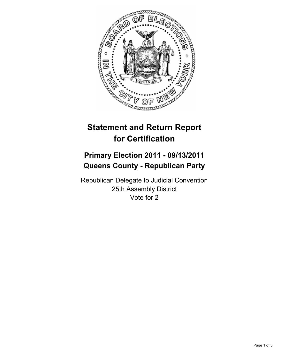

## **Statement and Return Report for Certification**

## **Primary Election 2011 - 09/13/2011 Queens County - Republican Party**

Republican Delegate to Judicial Convention 25th Assembly District Vote for 2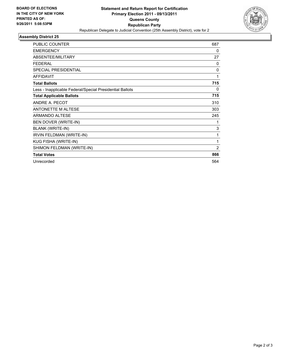

## **Assembly District 25**

| <b>PUBLIC COUNTER</b>                                    | 687            |
|----------------------------------------------------------|----------------|
| <b>EMERGENCY</b>                                         | 0              |
| ABSENTEE/MILITARY                                        | 27             |
| <b>FEDERAL</b>                                           | $\Omega$       |
| <b>SPECIAL PRESIDENTIAL</b>                              | $\Omega$       |
| <b>AFFIDAVIT</b>                                         | 1              |
| <b>Total Ballots</b>                                     | 715            |
| Less - Inapplicable Federal/Special Presidential Ballots | 0              |
| <b>Total Applicable Ballots</b>                          | 715            |
| ANDRE A. PECOT                                           | 310            |
| <b>ANTONETTE M ALTESE</b>                                | 303            |
| <b>ARMANDO ALTESE</b>                                    | 245            |
| BEN DOVER (WRITE-IN)                                     | 1              |
| <b>BLANK (WRITE-IN)</b>                                  | 3              |
| IRVIN FELDMAN (WRITE-IN)                                 | 1              |
| KUG FISHA (WRITE-IN)                                     | 1              |
| SHIMON FELDMAN (WRITE-IN)                                | $\overline{2}$ |
| <b>Total Votes</b>                                       | 866            |
| Unrecorded                                               | 564            |